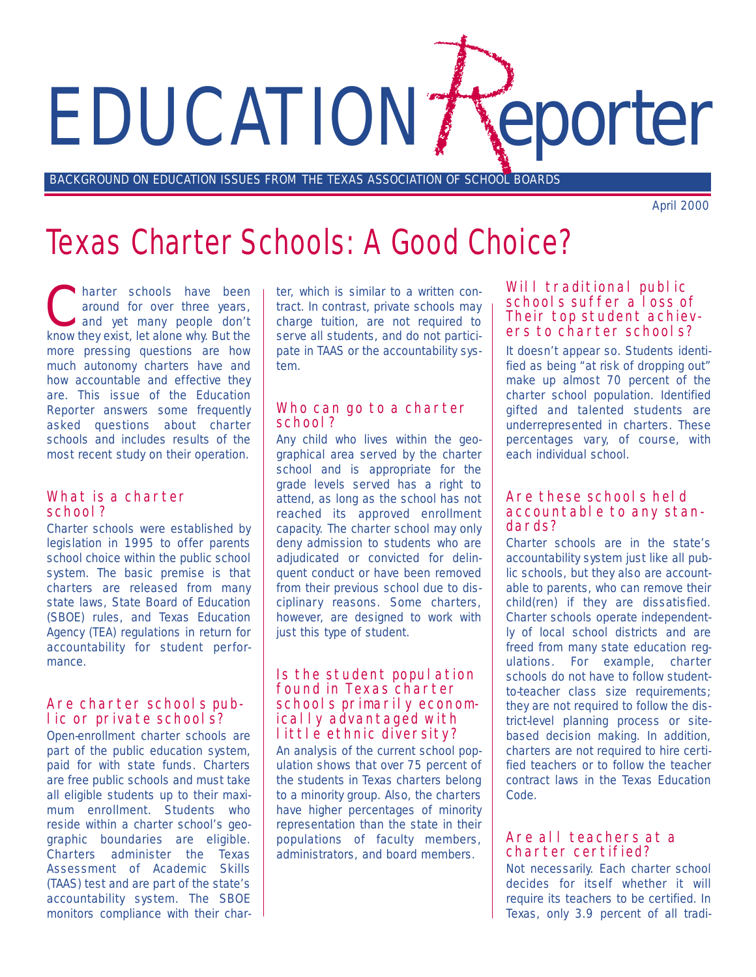# EDUCATION / Teporter

BACKGROUND ON EDUCATION ISSUES FROM THE TEXAS ASSOCIATION OF SCHOOL BOARDS

April 2000

### Texas Charter Schools: A Good Choice?

harter schools have been<br>around for over three years,<br>and yet many people don't<br>know thou ovist lot along why. But the around for over three years, know they exist, let alone why. But the more pressing questions are how much autonomy charters have and how accountable and effective they are. This issue of the *Education Reporter* answers some frequently asked questions about charter schools and includes results of the most recent study on their operation.

#### What is a charter school?

Charter schools were established by legislation in 1995 to offer parents school choice within the public school system. The basic premise is that charters are released from many state laws, State Board of Education (SBOE) rules, and Texas Education Agency (TEA) regulations in return for accountability for student performance.

#### Are charter schools public or private schools?

Open-enrollment charter schools are part of the public education system, paid for with state funds. Charters are free public schools and must take all eligible students up to their maximum enrollment. Students who reside within a charter school's geographic boundaries are eligible. Charters administer the Texas Assessment of Academic Skills (TAAS) test and are part of the state's accountability system. The SBOE monitors compliance with their charter, which is similar to a written contract. In contrast, private schools may charge tuition, are not required to serve all students, and do not participate in TAAS or the accountability system.

#### Who can go to a charter school?

Any child who lives within the geographical area served by the charter school and is appropriate for the grade levels served has a right to attend, as long as the school has not reached its approved enrollment capacity. The charter school may only deny admission to students who are adjudicated or convicted for delinquent conduct or have been removed from their previous school due to disciplinary reasons. Some charters, however, are designed to work with just this type of student.

#### Is the student population found in Texas charter schools primarily economically advantaged with little ethnic diversity?

An analysis of the current school population shows that over 75 percent of the students in Texas charters belong to a minority group. Also, the charters have higher percentages of minority representation than the state in their populations of faculty members, administrators, and board members.

#### Will traditional public schools suffer a loss of Their top student achievers to charter schools?

It doesn't appear so. Students identified as being "at risk of dropping out" make up almost 70 percent of the charter school population. Identified gifted and talented students are underrepresented in charters. These percentages vary, of course, with each individual school.

#### Are these schools held accountable to any standards?

Charter schools are in the state's accountability system just like all public schools, but they also are accountable to parents, who can remove their child(ren) if they are dissatisfied. Charter schools operate independently of local school districts and are freed from many state education regulations. For example, charter schools do not have to follow studentto-teacher class size requirements; they are not required to follow the district-level planning process or sitebased decision making. In addition, charters are not required to hire certified teachers or to follow the teacher contract laws in the Texas Education Code.

#### Are all teachers at a charter certified?

Not necessarily. Each charter school decides for itself whether it will require its teachers to be certified. In Texas, only 3.9 percent of all tradi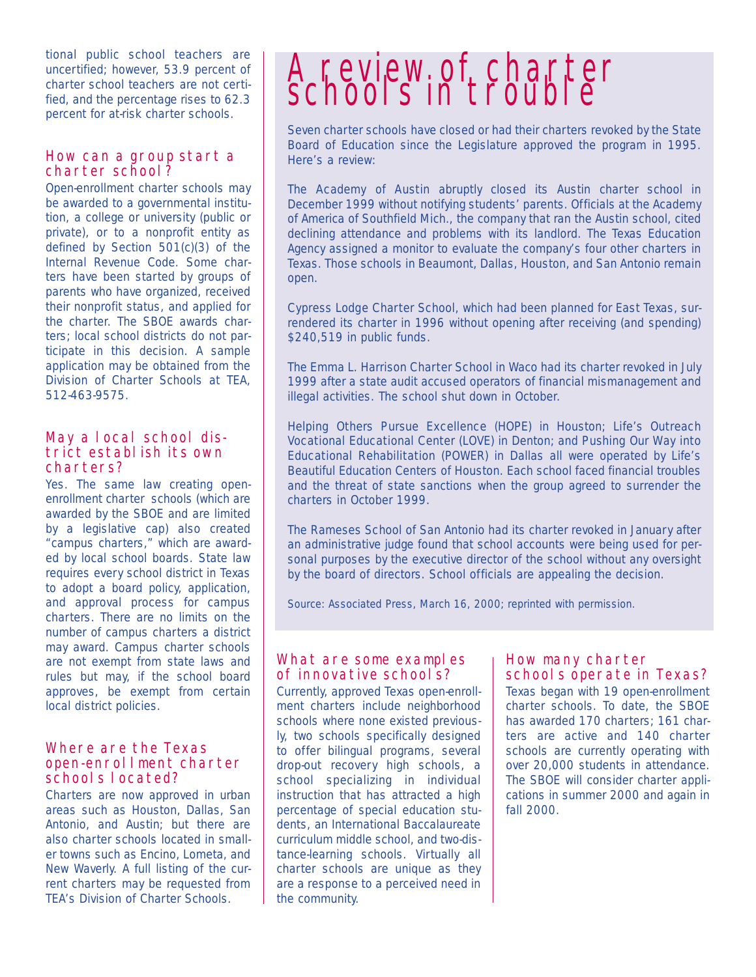tional public school teachers are uncertified; however, 53.9 percent of charter school teachers are not certified, and the percentage rises to 62.3 percent for at-risk charter schools.

#### How can a group start a charter school?

Open-enrollment charter schools may be awarded to a governmental institution, a college or university (public or private), or to a nonprofit entity as defined by Section 501(c)(3) of the Internal Revenue Code. Some charters have been started by groups of parents who have organized, received their nonprofit status, and applied for the charter. The SBOE awards charters; local school districts do not participate in this decision. A sample application may be obtained from the Division of Charter Schools at TEA, 512-463-9575.

#### May a local school district establish its own charters?

Yes. The same law creating openenrollment charter schools (which are awarded by the SBOE and are limited by a legislative cap) also created "campus charters," which are awarded by local school boards. State law requires every school district in Texas to adopt a board policy, application, and approval process for campus charters. There are no limits on the number of campus charters a district may award. Campus charter schools are not exempt from state laws and rules but may, if the school board approves, be exempt from certain local district policies.

#### Where are the Texas open-enrollment charter schools located?

Charters are now approved in urban areas such as Houston, Dallas, San Antonio, and Austin; but there are also charter schools located in smaller towns such as Encino, Lometa, and New Waverly. A full listing of the current charters may be requested from TEA's Division of Charter Schools.

# A review of charter<br>schools in trouble

Seven charter schools have closed or had their charters revoked by the State Board of Education since the Legislature approved the program in 1995. Here's a review:

The **Academy of Austin** abruptly closed its Austin charter school in December 1999 without notifying students' parents. Officials at the Academy of America of Southfield Mich., the company that ran the Austin school, cited declining attendance and problems with its landlord. The Texas Education Agency assigned a monitor to evaluate the company's four other charters in Texas. Those schools in Beaumont, Dallas, Houston, and San Antonio remain open.

Cypress Lodge Charter School, which had been planned for East Texas, surrendered its charter in 1996 without opening after receiving (and spending) \$240,519 in public funds.

The Emma L. Harrison Charter School in Waco had its charter revoked in July 1999 after a state audit accused operators of financial mismanagement and illegal activities. The school shut down in October.

Helping Others Pursue Excellence (HOPE) in Houston; Life's Outreach Vocational Educational Center (LOVE) in Denton; and Pushing Our Way into Educational Rehabilitation (POWER) in Dallas all were operated by Life's Beautiful Education Centers of Houston. Each school faced financial troubles and the threat of state sanctions when the group agreed to surrender the charters in October 1999.

The Rameses School of San Antonio had its charter revoked in January after an administrative judge found that school accounts were being used for personal purposes by the executive director of the school without any oversight by the board of directors. School officials are appealing the decision.

*Source: Associated Press, March 16, 2000; reprinted with permission.*

#### What are some examples of innovative schools?

Currently, approved Texas open-enrollment charters include neighborhood schools where none existed previously, two schools specifically designed to offer bilingual programs, several drop-out recovery high schools, a school specializing in individual instruction that has attracted a high percentage of special education students, an International Baccalaureate curriculum middle school, and two-distance-learning schools. Virtually all charter schools are unique as they are a response to a perceived need in the community.

#### How many charter schools operate in Texas?

Texas began with 19 open-enrollment charter schools. To date, the SBOE has awarded 170 charters; 161 charters are active and 140 charter schools are currently operating with over 20,000 students in attendance. The SBOE will consider charter applications in summer 2000 and again in fall 2000.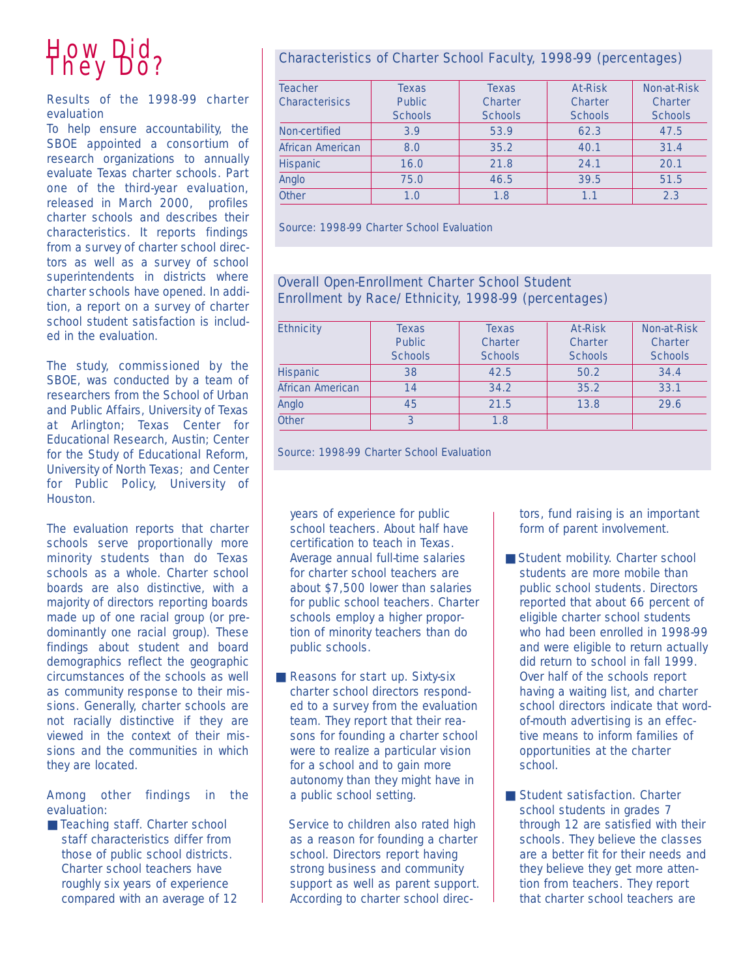## How Did<br>They Do?

#### Results of the 1998-99 charter evaluation

To help ensure accountability, the SBOE appointed a consortium of research organizations to annually evaluate Texas charter schools. Part one of the third-year evaluation, released in March 2000, profiles charter schools and describes their characteristics. It reports findings from a survey of charter school directors as well as a survey of school superintendents in districts where charter schools have opened. In addition, a report on a survey of charter school student satisfaction is included in the evaluation.

The study, commissioned by the SBOE, was conducted by a team of researchers from the School of Urban and Public Affairs, University of Texas at Arlington; Texas Center for Educational Research, Austin; Center for the Study of Educational Reform, University of North Texas; and Center for Public Policy, University of Houston.

The evaluation reports that charter schools serve proportionally more minority students than do Texas schools as a whole. Charter school boards are also distinctive, with a majority of directors reporting boards made up of one racial group (or predominantly one racial group). These findings about student and board demographics reflect the geographic circumstances of the schools as well as community response to their missions. Generally, charter schools are not racially distinctive if they are viewed in the context of their missions and the communities in which they are located.

#### Among other findings in the evaluation:

■ Teaching staff. Charter school staff characteristics differ from those of public school districts. Charter school teachers have roughly six years of experience compared with an average of 12

#### Characteristics of Charter School Faculty, 1998-99 (percentages)

| <b>Teacher</b><br><b>Characterisics</b> | <b>Texas</b><br><b>Public</b><br><b>Schools</b> | <b>Texas</b><br><b>Charter</b><br><b>Schools</b> | <b>At-Risk</b><br><b>Charter</b><br><b>Schools</b> | <b>Non-at-Risk</b><br><b>Charter</b><br><b>Schools</b> |
|-----------------------------------------|-------------------------------------------------|--------------------------------------------------|----------------------------------------------------|--------------------------------------------------------|
| Non-certified                           | 3.9                                             | 53.9                                             | 62.3                                               | 47.5                                                   |
| African American                        | 8.0                                             | 35.2                                             | 40.1                                               | 31.4                                                   |
| Hispanic                                | 16.0                                            | 21.8                                             | 24.1                                               | 20.1                                                   |
| Anglo                                   | 75.0                                            | 46.5                                             | 39.5                                               | 51.5                                                   |
| Other                                   | 1.0                                             | 1.8                                              | 1.1                                                | 2.3                                                    |

*Source: 1998-99 Charter School Evaluation*

#### Overall Open-Enrollment Charter School Student Enrollment by Race/Ethnicity, 1998-99 (percentages)

| <b>Ethnicity</b> | <b>Texas</b><br><b>Public</b><br><b>Schools</b> | <b>Texas</b><br><b>Charter</b><br><b>Schools</b> | <b>At-Risk</b><br><b>Charter</b><br><b>Schools</b> | Non-at-Risk<br><b>Charter</b><br><b>Schools</b> |
|------------------|-------------------------------------------------|--------------------------------------------------|----------------------------------------------------|-------------------------------------------------|
| <b>Hispanic</b>  | 38                                              | 42.5                                             | 50.2                                               | 34.4                                            |
| African American | 14                                              | 34.2                                             | 35.2                                               | 33.1                                            |
| Anglo            | 45                                              | 21.5                                             | 13.8                                               | 29.6                                            |
| Other            |                                                 | 1.8                                              |                                                    |                                                 |

*Source: 1998-99 Charter School Evaluation*

years of experience for public school teachers. About half have certification to teach in Texas. Average annual full-time salaries for charter school teachers are about \$7,500 lower than salaries for public school teachers. Charter schools employ a higher proportion of minority teachers than do public schools.

■ Reasons for start up. Sixty-six charter school directors responded to a survey from the evaluation team. They report that their reasons for founding a charter school were to realize a particular vision for a school and to gain more autonomy than they might have in a public school setting.

Service to children also rated high as a reason for founding a charter school. Directors report having strong business and community support as well as parent support. According to charter school directors, fund raising is an important form of parent involvement.

- Student mobility. Charter school students are more mobile than public school students. Directors reported that about 66 percent of eligible charter school students who had been enrolled in 1998-99 and were eligible to return actually did return to school in fall 1999. Over half of the schools report having a waiting list, and charter school directors indicate that wordof-mouth advertising is an effective means to inform families of opportunities at the charter school.
- Student satisfaction. Charter school students in grades 7 through 12 are satisfied with their schools. They believe the classes are a better fit for their needs and they believe they get more attention from teachers. They report that charter school teachers are